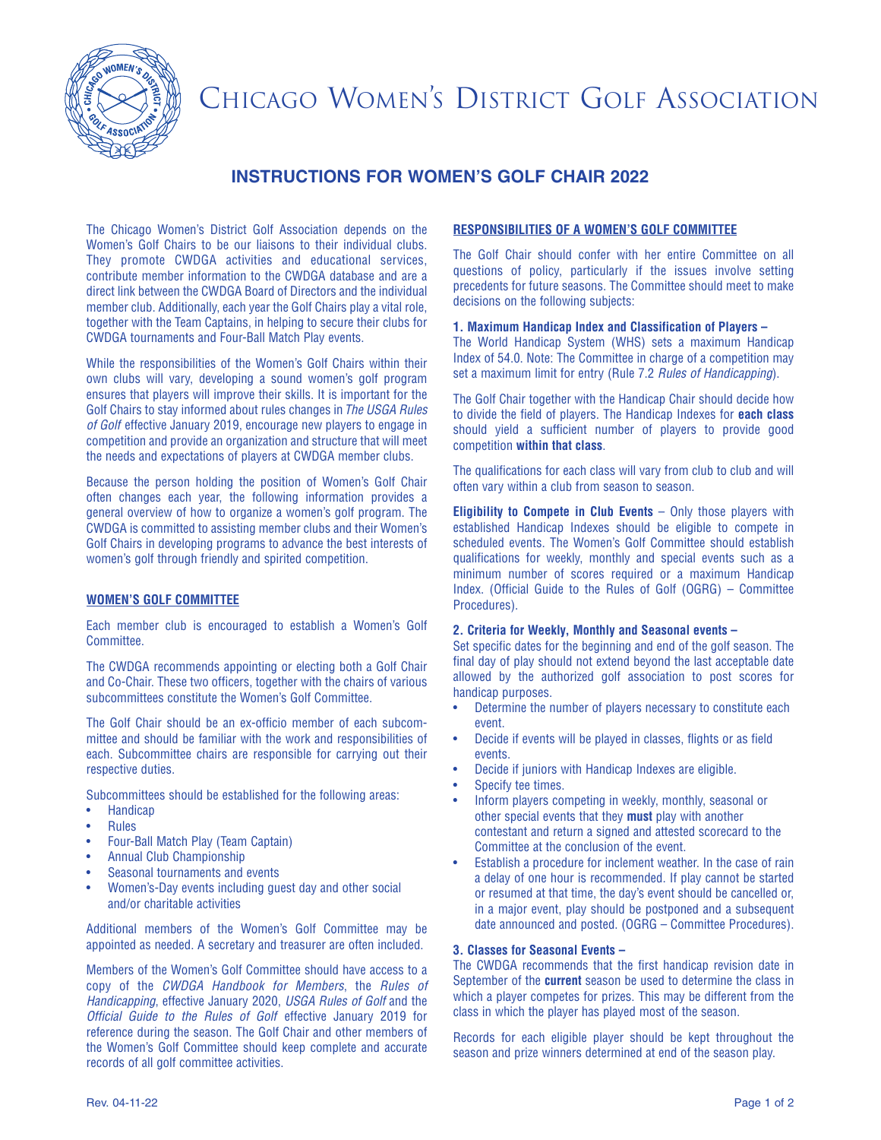

# CHICAGO WOMEN'S DISTRICT GOLF ASSOCIATION

# **INSTRUCTIONS FOR WOMEN'S GOLF CHAIR 2022**

The Chicago Women's District Golf Association depends on the Women's Golf Chairs to be our liaisons to their individual clubs. They promote CWDGA activities and educational services, contribute member information to the CWDGA database and are a direct link between the CWDGA Board of Directors and the individual member club. Additionally, each year the Golf Chairs play a vital role, together with the Team Captains, in helping to secure their clubs for CWDGA tournaments and Four-Ball Match Play events.

While the responsibilities of the Women's Golf Chairs within their own clubs will vary, developing a sound women's golf program ensures that players will improve their skills. It is important for the Golf Chairs to stay informed about rules changes in The USGA Rules of Golf effective January 2019, encourage new players to engage in competition and provide an organization and structure that will meet the needs and expectations of players at CWDGA member clubs.

Because the person holding the position of Women's Golf Chair often changes each year, the following information provides a general overview of how to organize a women's golf program. The CWDGA is committed to assisting member clubs and their Women's Golf Chairs in developing programs to advance the best interests of women's golf through friendly and spirited competition.

# **WOMEN'S GOLF COMMITTEE**

Each member club is encouraged to establish a Women's Golf Committee.

The CWDGA recommends appointing or electing both a Golf Chair and Co-Chair. These two officers, together with the chairs of various subcommittees constitute the Women's Golf Committee.

The Golf Chair should be an ex-officio member of each subcommittee and should be familiar with the work and responsibilities of each. Subcommittee chairs are responsible for carrying out their respective duties.

Subcommittees should be established for the following areas:

- **Handicap**
- Rules
- Four-Ball Match Play (Team Captain)
- Annual Club Championship
- Seasonal tournaments and events
- Women's-Day events including guest day and other social and/or charitable activities

Additional members of the Women's Golf Committee may be appointed as needed. A secretary and treasurer are often included.

Members of the Women's Golf Committee should have access to a copy of the CWDGA Handbook for Members, the Rules of Handicapping, effective January 2020, USGA Rules of Golf and the Official Guide to the Rules of Golf effective January 2019 for reference during the season. The Golf Chair and other members of the Women's Golf Committee should keep complete and accurate records of all golf committee activities.

# **RESPONSIBILITIES OF A WOMEN'S GOLF COMMITTEE**

The Golf Chair should confer with her entire Committee on all questions of policy, particularly if the issues involve setting precedents for future seasons. The Committee should meet to make decisions on the following subjects:

# **1. Maximum Handicap Index and Classification of Players –**

The World Handicap System (WHS) sets a maximum Handicap Index of 54.0. Note: The Committee in charge of a competition may set a maximum limit for entry (Rule 7.2 Rules of Handicapping).

The Golf Chair together with the Handicap Chair should decide how to divide the field of players. The Handicap Indexes for **each class** should yield a sufficient number of players to provide good competition **within that class**.

The qualifications for each class will vary from club to club and will often vary within a club from season to season.

**Eligibility to Compete in Club Events** – Only those players with established Handicap Indexes should be eligible to compete in scheduled events. The Women's Golf Committee should establish qualifications for weekly, monthly and special events such as a minimum number of scores required or a maximum Handicap Index. (Official Guide to the Rules of Golf (OGRG) – Committee Procedures).

# **2. Criteria for Weekly, Monthly and Seasonal events –**

Set specific dates for the beginning and end of the golf season. The final day of play should not extend beyond the last acceptable date allowed by the authorized golf association to post scores for handicap purposes.

- Determine the number of players necessary to constitute each event.
- Decide if events will be played in classes, flights or as field events.
- Decide if juniors with Handicap Indexes are eligible.
- Specify tee times.
- Inform players competing in weekly, monthly, seasonal or other special events that they **must** play with another contestant and return a signed and attested scorecard to the Committee at the conclusion of the event.
- Establish a procedure for inclement weather. In the case of rain a delay of one hour is recommended. If play cannot be started or resumed at that time, the day's event should be cancelled or, in a major event, play should be postponed and a subsequent date announced and posted. (OGRG – Committee Procedures).

# **3. Classes for Seasonal Events –**

The CWDGA recommends that the first handicap revision date in September of the **current** season be used to determine the class in which a player competes for prizes. This may be different from the class in which the player has played most of the season.

Records for each eligible player should be kept throughout the season and prize winners determined at end of the season play.